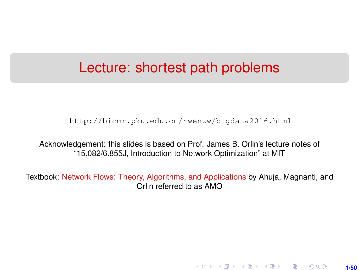#### <span id="page-0-0"></span>Lecture: shortest path problems

[http://bicmr.pku.edu.cn/~wenzw/bigdata2016.html](http://bicmr.pku.edu.cn/~wenzw/bigdata2016.html )

Acknowledgement: this slides is based on Prof. James B. Orlin's lecture notes of "15.082/6.855J, Introduction to Network Optimization" at MIT

Textbook: Network Flows: Theory, Algorithms, and Applications by Ahuja, Magnanti, and Orlin referred to as AMO

★ ロチ ( 御 ) ( 제 할 ) ( 제 할 ) ( ) 할

**1/50**

 $2Q$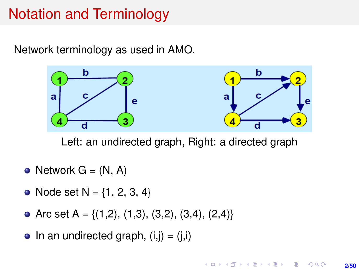## Notation and Terminology

Network terminology as used in AMO.



Left: an undirected graph, Right: a directed graph

- Network  $G = (N, A)$
- Node set  $N = \{1, 2, 3, 4\}$
- Arc set A = { $(1,2)$ ,  $(1,3)$ ,  $(3,2)$ ,  $(3,4)$ ,  $(2,4)$ }
- In an undirected graph,  $(i,j) = (j,i)$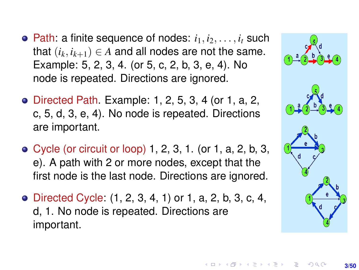- Path: a finite sequence of nodes:  $i_1, i_2, \ldots, i_t$  such that  $(i_k, i_{k+1}) \in A$  and all nodes are not the same. Example: 5, 2, 3, 4. (or 5, c, 2, b, 3, e, 4). No node is repeated. Directions are ignored.
- Directed Path. Example: 1, 2, 5, 3, 4 (or 1, a, 2, c, 5, d, 3, e, 4). No node is repeated. Directions are important.
- Cycle (or circuit or loop) 1, 2, 3, 1. (or 1, a, 2, b, 3, e). A path with 2 or more nodes, except that the first node is the last node. Directions are ignored.
- Directed Cycle: (1, 2, 3, 4, 1) or 1, a, 2, b, 3, c, 4, d, 1. No node is repeated. Directions are important.

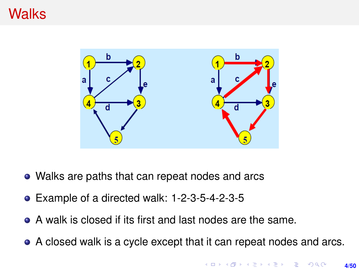#### **Walks**



- Walks are paths that can repeat nodes and arcs
- Example of a directed walk: 1-2-3-5-4-2-3-5
- A walk is closed if its first and last nodes are the same.
- A closed walk is a cycle except that it can repeat nodes and arcs.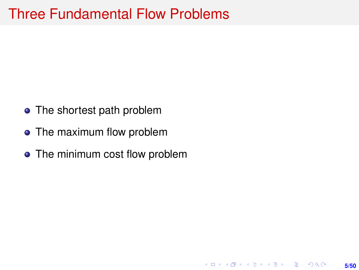#### Three Fundamental Flow Problems

- The shortest path problem
- The maximum flow problem
- The minimum cost flow problem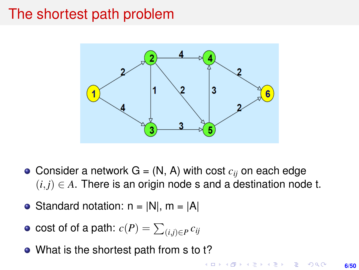#### The shortest path problem



- Consider a network  $G = (N, A)$  with cost  $c_{ij}$  on each edge  $(i, j) \in A$ . There is an origin node s and a destination node t.
- Standard notation:  $n = |N|$ ,  $m = |A|$
- $\cosh$  of  $\sinh$  a path:  $c(P) = \sum_{(i,j) \in P} c_{ij}$
- What is the shortest path from s to t?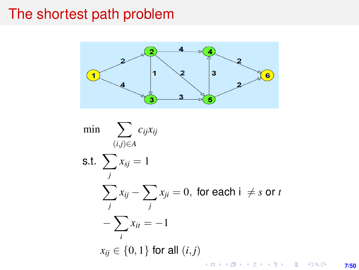#### The shortest path problem



min  $\sum c_{ij}x_{ij}$ (*i*,*j*)∈*A* s.t.  $\sum$  $x_{sj} = 1$ *j*  $\sum$  $x_{ij} - \sum$  $x_{ji}=0, \;$  for each i  $\;\neq s$  or  $t$ *j j* − X  $x_{it} = -1$ *i x*<sup>*i*j</sup> ∈ {0, 1} for all  $(i, j)$ K ロ ▶ K @ ▶ K 할 > K 할 > 1 할 > 1 이익어

**7/50**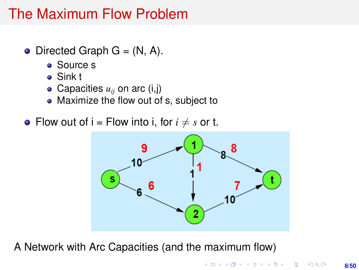## The Maximum Flow Problem

- $\bullet$  Directed Graph G = (N, A).
	- Source s
	- Sink t
	- Capacities  $u_{ij}$  on arc (i,j)
	- Maximize the flow out of s, subject to
- Flow out of  $i =$  Flow into i, for  $i \neq s$  or t.



A Network with Arc Capacities (and the maximum flow)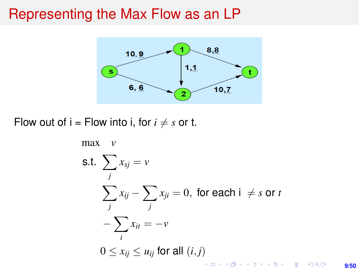#### Representing the Max Flow as an LP



Flow out of  $i =$  Flow into *i*, for  $i \neq s$  or t.



**9/50**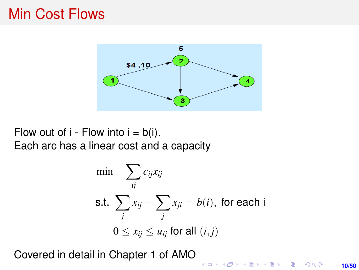#### Min Cost Flows



Flow out of  $i$  - Flow into  $i = b(i)$ . Each arc has a linear cost and a capacity

$$
\min \sum_{ij} c_{ij} x_{ij}
$$
\n
$$
\text{s.t. } \sum_{j} x_{ij} - \sum_{j} x_{ji} = b(i), \text{ for each i}
$$
\n
$$
0 \le x_{ij} \le u_{ij} \text{ for all } (i, j)
$$

Covered in detail in Chapter 1 of AMO

K ロ X K @ X K 통 X X 통 X Y G Q Q Q **10/50**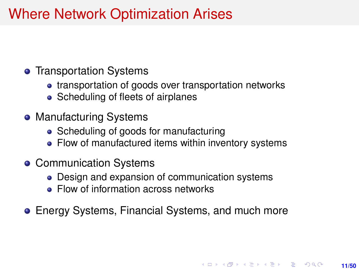## Where Network Optimization Arises

#### **• Transportation Systems**

- transportation of goods over transportation networks
- Scheduling of fleets of airplanes
- Manufacturing Systems
	- Scheduling of goods for manufacturing
	- Flow of manufactured items within inventory systems
- Communication Systems
	- Design and expansion of communication systems
	- Flow of information across networks
- Energy Systems, Financial Systems, and much more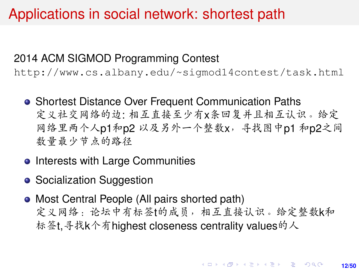## Applications in social network: shortest path

#### 2014 ACM SIGMOD Programming Contest

<http://www.cs.albany.edu/~sigmod14contest/task.html>

- **Shortest Distance Over Frequent Communication Paths** <sup>定</sup>义社交网络的边: <sup>相</sup>互直接至少有x条回复并且相互认识。给<sup>定</sup> <sup>网</sup>络里两个人p1和p2 <sup>以</sup>及另外一个整数x,寻找图中p1 <sup>和</sup>p2之<sup>间</sup> <sup>数</sup>量最少节点的路径
- **Interests with Large Communities**
- Socialization Suggestion
- Most Central People (All pairs shorted path) 定义网络: 论坛中有标签t的成员,相互直接认识。给定整数k和 <sup>标</sup>签t,寻找k个有highest closeness centrality values的<sup>人</sup>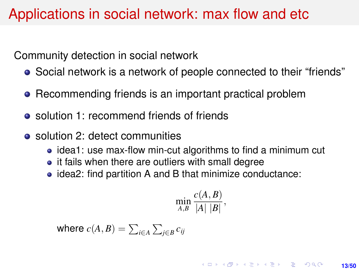### Applications in social network: max flow and etc

Community detection in social network

- Social network is a network of people connected to their "friends"
- Recommending friends is an important practical problem
- solution 1: recommend friends of friends
- solution 2: detect communities
	- idea1: use max-flow min-cut algorithms to find a minimum cut
	- it fails when there are outliers with small degree
	- idea2: find partition A and B that minimize conductance:

$$
\min_{A,B} \frac{c(A,B)}{|A| |B|},
$$

where  $c(A,B)=\sum_{i\in A}\sum_{j\in B}c_{ij}$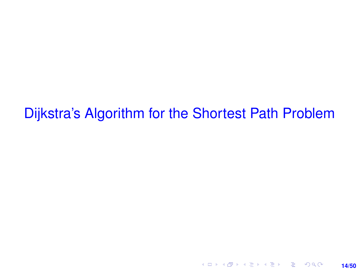Dijkstra's Algorithm for the Shortest Path Problem

**14/50**

K ロ ▶ K @ ▶ K 할 ▶ K 할 ▶ 이 할 → 9 Q @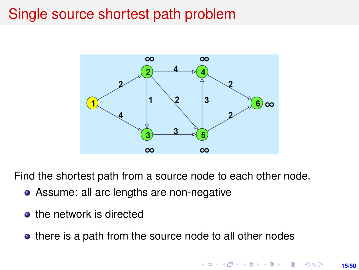### Single source shortest path problem



Find the shortest path from a source node to each other node.

- Assume: all arc lengths are non-negative
- the network is directed
- there is a path from the source node to all other nodes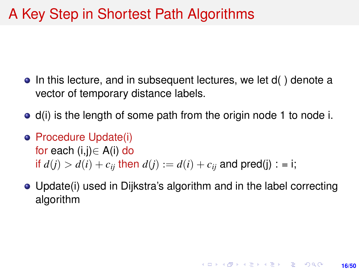## A Key Step in Shortest Path Algorithms

- In this lecture, and in subsequent lectures, we let d() denote a vector of temporary distance labels.
- d(i) is the length of some path from the origin node 1 to node i.
- **Procedure Update(i)** for each (i,j)∈ A(i) do if  $d(i) > d(i) + c_{ii}$  then  $d(i) := d(i) + c_{ii}$  and pred(j) : = i;
- Update(i) used in Dijkstra's algorithm and in the label correcting algorithm

**16/50**

**KORKARK KERKER DRAM**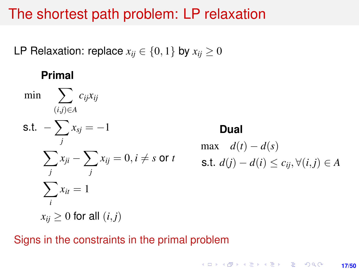#### The shortest path problem: LP relaxation

LP Relaxation: replace  $x_{ij} \in \{0, 1\}$  by  $x_{ij} \ge 0$ 

#### **Primal**

$$
\min \sum_{(i,j)\in A} c_{ij} x_{ij}
$$

$$
\begin{aligned} \text{s.t.} \quad & -\sum_{j} x_{sj} = -1\\ & \sum_{j} x_{ji} - \sum_{j} x_{ij} = 0, i \neq s \text{ or } t\\ & \sum_{i} x_{it} = 1\\ & x_{ij} \geq 0 \text{ for all } (i, j) \end{aligned}
$$

## **Dual** max  $d(t) - d(s)$ s.t.  $d(j) - d(i) \leq c_{ij}, \forall (i, j) \in A$

#### Signs in the constraints in the primal problem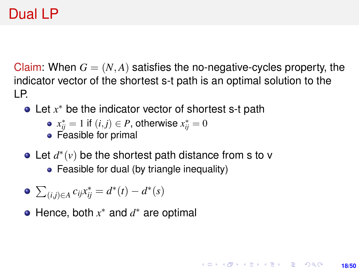## Dual LP

Claim: When  $G = (N, A)$  satisfies the no-negative-cycles property, the indicator vector of the shortest s-t path is an optimal solution to the LP.

Let x<sup>\*</sup> be the indicator vector of shortest s-t path

• 
$$
x_{ij}^* = 1
$$
 if  $(i,j) \in P$ , otherwise  $x_{ij}^* = 0$ 

- Feasible for primal
- Let  $d^*(v)$  be the shortest path distance from s to v
	- Feasible for dual (by triangle inequality)

$$
\bullet \sum_{(i,j)\in A}c_{ij}x_{ij}^*=d^*(t)-d^*(s)
$$

Hence, both *x* <sup>∗</sup> and *d* <sup>∗</sup> are optimal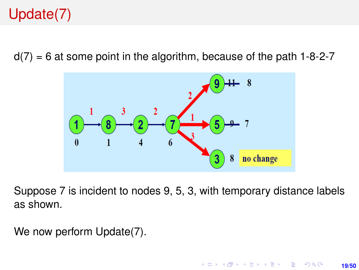# Update(7)

 $d(7) = 6$  at some point in the algorithm, because of the path 1-8-2-7



Suppose 7 is incident to nodes 9, 5, 3, with temporary distance labels as shown.

We now perform Update(7).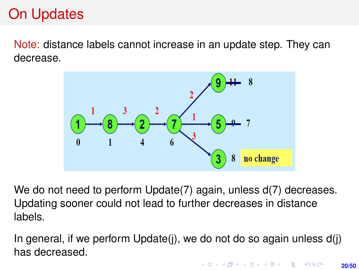## On Updates

Note: distance labels cannot increase in an update step. They can decrease.



We do not need to perform Update(7) again, unless d(7) decreases. Updating sooner could not lead to further decreases in distance labels.

In general, if we perform Update(j), we do not do so again unless d(j) has decreased.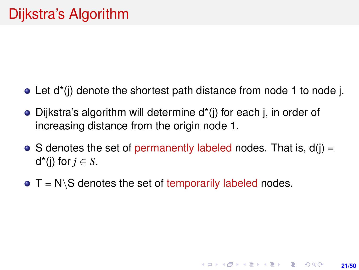- $\bullet$  Let d<sup>\*</sup>(i) denote the shortest path distance from node 1 to node j.
- Dijkstra's algorithm will determine d\*(j) for each j, in order of increasing distance from the origin node 1.
- $\bullet$  S denotes the set of permanently labeled nodes. That is,  $d(i) =$ d<sup>\*</sup>(j) for  $j \in S$ .

**21/50**

**KORKARK KERKER DRAM** 

 $\bullet$  T = N\S denotes the set of temporarily labeled nodes.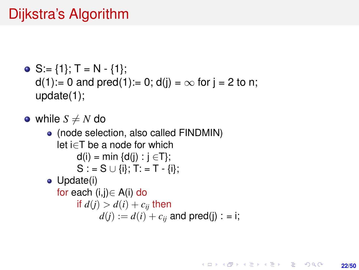## Dijkstra's Algorithm

• S := {1}; T = N - {1};  
d(1):= 0 and pred(1):= 0; d(j) = 
$$
\infty
$$
 for j = 2 to n;  
update(1);

- while  $S \neq N$  do
	- (node selection, also called FINDMIN) let i∈T be a node for which  $d(i) = min \{d(i) : i \in T\};$  $S := S \cup \{i\}; T := T - \{i\};$ • Update(i) for each (i,j)∈ A(i) do if  $d(i) > d(i) + c_{ii}$  then  $d(i) := d(i) + c_{ii}$  and pred(j) : = i;

**22/50**

**KORKARK A BIK BIKA A GA A GA A GA A BIKA A BIKA A BIKA A BIKA A BIKA A BIKA A BIKA A BIKA A BIKA A BIKA A BIKA**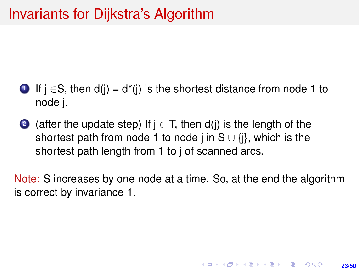### Invariants for Dijkstra's Algorithm

- **1** If  $i \in S$ , then  $d(i) = d^*(i)$  is the shortest distance from node 1 to node j.
- 2 (after the update step) If  $j \in T$ , then d(j) is the length of the shortest path from node 1 to node j in S  $\cup$  {j}, which is the shortest path length from 1 to j of scanned arcs.

Note: S increases by one node at a time. So, at the end the algorithm is correct by invariance 1.

**23/50**

**KORKARK A BIK BIKA A GA A GA A GA A BIKA A BIKA A BIKA A BIKA A BIKA A BIKA A BIKA A BIKA A BIKA A BIKA A BIKA**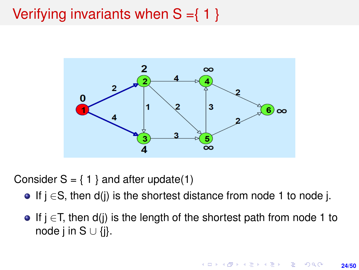# <span id="page-23-0"></span>Verifying invariants when  $S = \{ 1 \}$



Consider  $S = \{ 1 \}$  and after update(1)

- If  $i \in S$ , then  $d(i)$  is the shortest distance from node 1 to node j.
- **If j**  $\in$ T, then d(j) is the length of the shortest path from node 1 to node j in S  $∪$  {i}.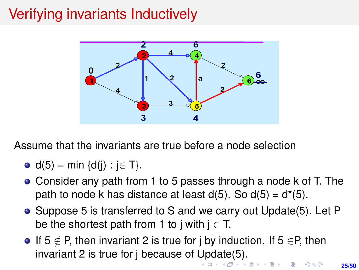# <span id="page-24-0"></span>Verifying invariants Inductively



Assume that the invariants are true before a node selection

$$
\bullet \ \ d(5) = \min \{d(j) : j \in T\}.
$$

- Consider any path from 1 to 5 passes through a node k of T. The path to node k has distance at least  $d(5)$ . So  $d(5) = d^*(5)$ .
- Suppose 5 is transferred to S and we carry out Update(5). Let P be the shortest path from 1 to j with  $j \in T$ .
- If  $5 \notin P$ , then invariant 2 is true for j by induction. If  $5 \in P$ , then invariant 2 is true for j because of [Up](#page-23-0)[da](#page-25-0)[t](#page-23-0)[e\(](#page-24-0)[5](#page-25-0)[\).](#page-0-0)<br>All the series are the series on the series on the series of the series of the series of the series of the series of the series of the series of the series of the series of t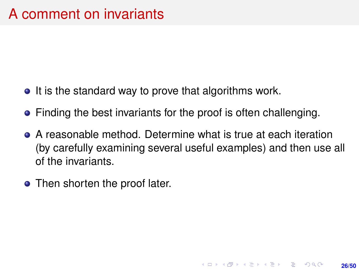- <span id="page-25-0"></span> $\bullet$  It is the standard way to prove that algorithms work.
- Finding the best invariants for the proof is often challenging.
- A reasonable method. Determine what is true at each iteration (by carefully examining several useful examples) and then use all of the invariants.

**26/50**

**KORKARK A BIK BIKA A GA A GA A GA A BIKA A BIKA A BIKA A BIKA A BIKA A BIKA A BIKA A BIKA A BIKA A BIKA A BIKA** 

• Then shorten the proof later.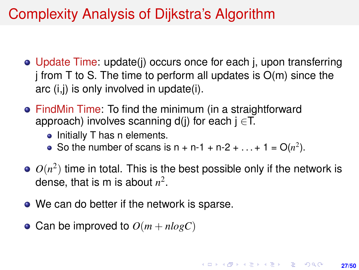## Complexity Analysis of Dijkstra's Algorithm

- Update Time: update(j) occurs once for each j, upon transferring  $j$  from T to S. The time to perform all updates is  $O(m)$  since the arc (i,j) is only involved in update(i).
- FindMin Time: To find the minimum (in a straightforward approach) involves scanning d(j) for each  $j \in T$ .
	- Initially T has n elements.
	- So the number of scans is  $n + n 1 + n 2 + ... + 1 = O(n^2)$ .
- $O(n^2)$  time in total. This is the best possible only if the network is dense, that is m is about  $n^2$ .
- We can do better if the network is sparse.
- Can be improved to  $O(m + nlogC)$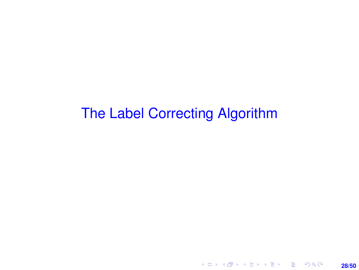## The Label Correcting Algorithm

**28/50**

K ロ X x (個) X x ミ X x ミ X = 3 → 5 × 0 × 0 ×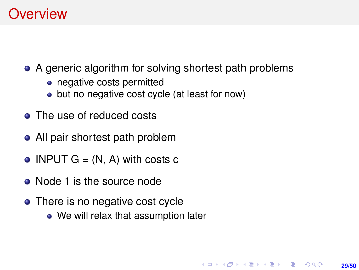## **Overview**

• A generic algorithm for solving shortest path problems

**29/50**

KORK ERKER ERKER

- negative costs permitted
- but no negative cost cycle (at least for now)
- **•** The use of reduced costs
- All pair shortest path problem
- INPUT  $G = (N, A)$  with costs c
- Node 1 is the source node
- There is no negative cost cycle
	- We will relax that assumption later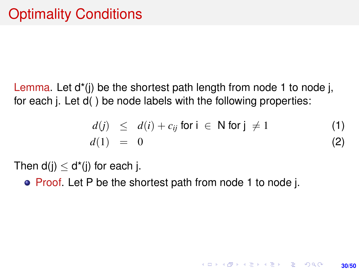Lemma. Let  $d^*(i)$  be the shortest path length from node 1 to node j, for each j. Let d( ) be node labels with the following properties:

$$
d(j) \leq d(i) + c_{ij} \text{ for } i \in \mathbb{N} \text{ for } j \neq 1 \tag{1}
$$
  

$$
d(1) = 0 \tag{2}
$$

**KORKARK KERKER DRAM** 

**30/50**

Then  $d(i) < d^*(i)$  for each j.

• Proof. Let P be the shortest path from node 1 to node j.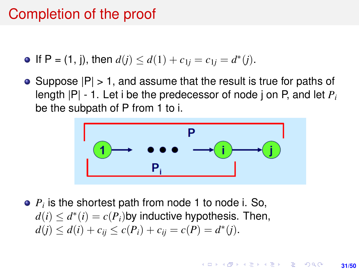### Completion of the proof

If P = (1, j), then  $d(j) \leq d(1) + c_{1j} = c_{1j} = d^*(j)$ .

• Suppose  $|P| > 1$ , and assume that the result is true for paths of length |P| - 1. Let i be the predecessor of node j on P, and let *P<sup>i</sup>* be the subpath of P from 1 to i.



*Pi* is the shortest path from node 1 to node i. So,  $d(i) \leq d^*(i) = c(P_i)$ by inductive hypothesis. Then,  $d(j) \leq d(i) + c_{ij} \leq c(P_i) + c_{ij} = c(P) = d^*(j).$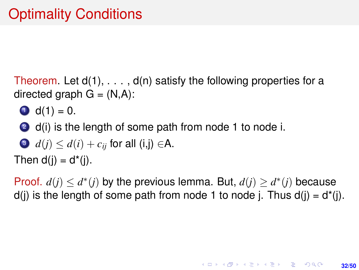Theorem. Let  $d(1), \ldots, d(n)$  satisfy the following properties for a directed graph  $G = (N, A)$ :

- $\bullet$  d(1) = 0.
- 2 d(i) is the length of some path from node 1 to node i.

• 
$$
d(j) \leq d(i) + c_{ij}
$$
 for all  $(i,j) \in A$ .

Then  $d(i) = d^*(i)$ .

Proof.  $d(j) \leq d^*(j)$  by the previous lemma. But,  $d(j) \geq d^*(j)$  because  $d(i)$  is the length of some path from node 1 to node j. Thus  $d(i) = d^*(i)$ .

**32/50**

**KORKARK KERKER DRAM**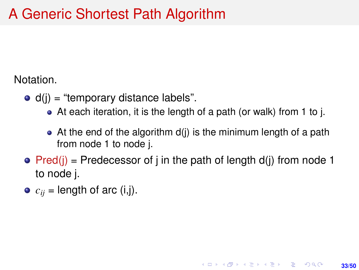## A Generic Shortest Path Algorithm

Notation.

- $\bullet$  d(i) = "temporary distance labels".
	- At each iteration, it is the length of a path (or walk) from 1 to j.
	- $\bullet$  At the end of the algorithm  $d(i)$  is the minimum length of a path from node 1 to node j.

**33/50**

**KORKARK A BIK BIKA A GA A GA A GA A BIKA A BIKA A BIKA A BIKA A BIKA A BIKA A BIKA A BIKA A BIKA A BIKA A BIKA** 

- Pred(i) = Predecessor of j in the path of length d(j) from node 1 to node j.
- $\bullet$   $c_{ii}$  = length of arc (i,j).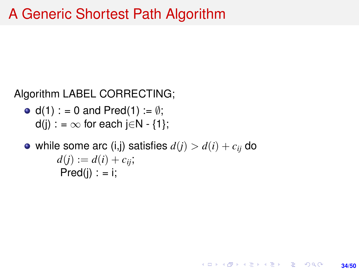#### Algorithm LABEL CORRECTING;

- $d(1)$  : = 0 and Pred(1) :=  $\emptyset$ ;  $d(i)$  : =  $\infty$  for each i $\in$ N - {1}:
- while some arc (i,j) satisfies  $d(i) > d(i) + c_{ii}$  do  $d(i) := d(i) + c_{ii}$ ;  $Pred(i)$  : = i;

**34/50**

KORK ERKER ERKER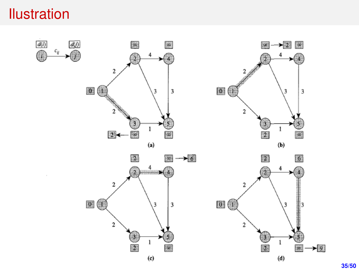## Ilustration

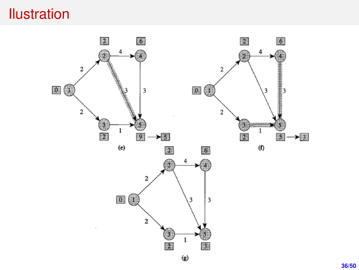## **Ilustration**

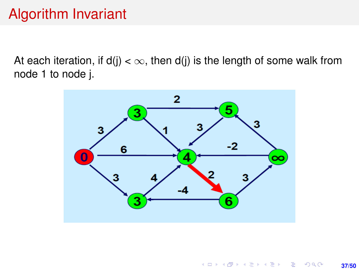## Algorithm Invariant

At each iteration, if  $d(i) < \infty$ , then  $d(i)$  is the length of some walk from node 1 to node j.

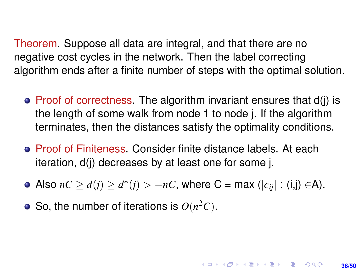Theorem. Suppose all data are integral, and that there are no negative cost cycles in the network. Then the label correcting algorithm ends after a finite number of steps with the optimal solution.

- $\bullet$  Proof of correctness. The algorithm invariant ensures that  $d(i)$  is the length of some walk from node 1 to node j. If the algorithm terminates, then the distances satisfy the optimality conditions.
- Proof of Finiteness. Consider finite distance labels. At each iteration, d(j) decreases by at least one for some j.
- Also  $nC \ge d(j) \ge d^*(j) > -nC$ , where C = max ( $|c_{ij}|$  : (i,j) ∈A).

**38/50**

**KORKAR KERKER E VOLCH** 

So, the number of iterations is  $O(n^2C)$ .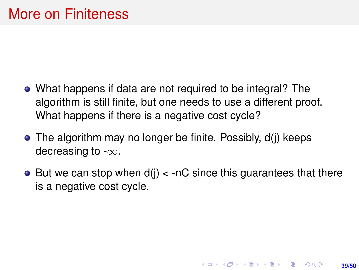- What happens if data are not required to be integral? The algorithm is still finite, but one needs to use a different proof. What happens if there is a negative cost cycle?
- The algorithm may no longer be finite. Possibly, d(j) keeps decreasing to  $-\infty$ .
- $\bullet$  But we can stop when  $d(i) <$  -nC since this quarantees that there is a negative cost cycle.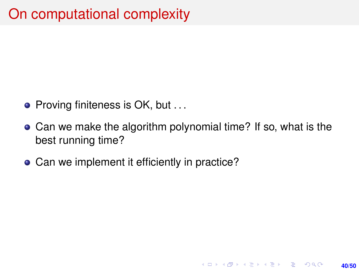# On computational complexity

- Proving finiteness is OK, but ...
- Can we make the algorithm polynomial time? If so, what is the best running time?

**40/50**

KORK ERKER ERKER

• Can we implement it efficiently in practice?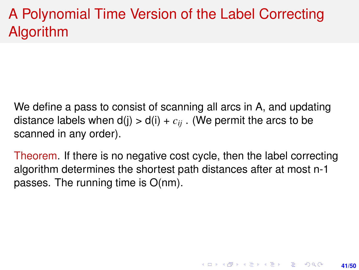# A Polynomial Time Version of the Label Correcting Algorithm

- We define a pass to consist of scanning all arcs in A, and updating distance labels when  $d(j) > d(i) + c_{ij}$ . (We permit the arcs to be scanned in any order).
- Theorem. If there is no negative cost cycle, then the label correcting algorithm determines the shortest path distances after at most n-1 passes. The running time is O(nm).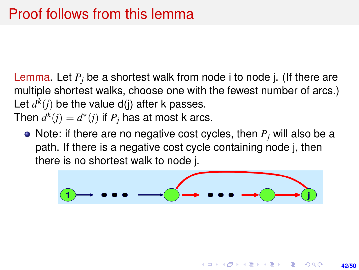Lemma. Let *P<sup>j</sup>* be a shortest walk from node i to node j. (If there are multiple shortest walks, choose one with the fewest number of arcs.) Let  $d^k(j)$  be the value d(j) after k passes. Then  $d^k(j) = d^*(j)$  if  $P_j$  has at most k arcs.

• Note: if there are no negative cost cycles, then  $P_i$  will also be a path. If there is a negative cost cycle containing node j, then there is no shortest walk to node j.



KO KA KA KE KA EKA SEMBA KO

**42/50**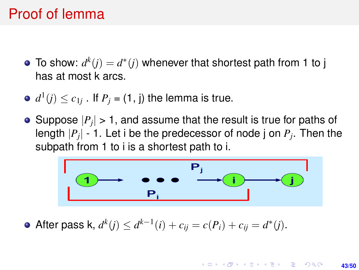## Proof of lemma

- To show:  $d^k(j) = d^*(j)$  whenever that shortest path from 1 to j has at most k arcs.
- $d^1(j) \leq c_{1j}$  . If  $P_j$  = (1, j) the lemma is true.
- Suppose  $|P_j|$  > 1, and assume that the result is true for paths of length |*P<sup>j</sup>* | - 1. Let i be the predecessor of node j on *P<sup>j</sup>* . Then the subpath from 1 to i is a shortest path to i.



After pass k,  $d^k(j) \leq d^{k-1}(i) + c_{ij} = c(P_i) + c_{ij} = d^*(j)$ .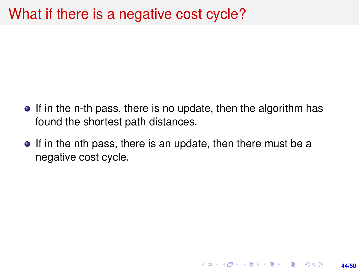### What if there is a negative cost cycle?

- If in the n-th pass, there is no update, then the algorithm has found the shortest path distances.
- If in the nth pass, there is an update, then there must be a negative cost cycle.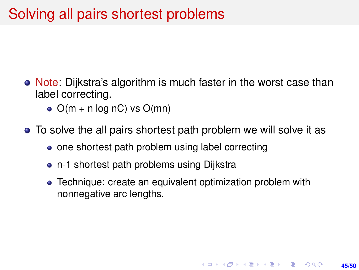## Solving all pairs shortest problems

- Note: Dijkstra's algorithm is much faster in the worst case than label correcting.
	- $\bullet$  O(m + n log nC) vs O(mn)
- To solve the all pairs shortest path problem we will solve it as
	- one shortest path problem using label correcting
	- n-1 shortest path problems using Dijkstra
	- Technique: create an equivalent optimization problem with nonnegative arc lengths.

**45/50**

**KORKARK KERKER DRAM**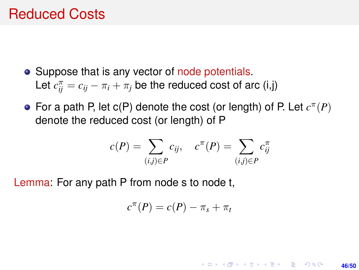#### Reduced Costs

- Suppose that is any vector of node potentials. Let  $c_{ij}^{\pi} = c_{ij} - \pi_i + \pi_j$  be the reduced cost of arc (i,j)
- For a path P, let  $c(P)$  denote the cost (or length) of P. Let  $c^{\pi}(P)$ denote the reduced cost (or length) of P

$$
c(P) = \sum_{(i,j)\in P} c_{ij}, \quad c^{\pi}(P) = \sum_{(i,j)\in P} c_{ij}^{\pi}
$$

Lemma: For any path P from node s to node t,

$$
c^{\pi}(P)=c(P)-\pi_s+\pi_t
$$

**46/50**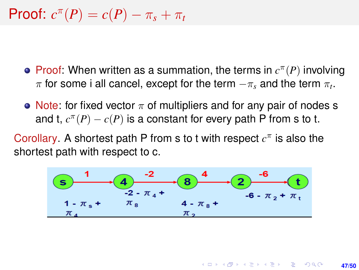# **Proof:**  $c^{\pi}(P) = c(P) - \pi_s + \pi_t$

- **Proof:** When written as a summation, the terms in  $c^{\pi}(P)$  involving  $\pi$  for some i all cancel, except for the term  $-\pi_s$  and the term  $\pi_t.$
- Note: for fixed vector  $\pi$  of multipliers and for any pair of nodes s and t,  $c^{\pi}(P) - c(P)$  is a constant for every path P from s to t.

Corollary. A shortest path P from s to t with respect  $c^{\pi}$  is also the shortest path with respect to c.

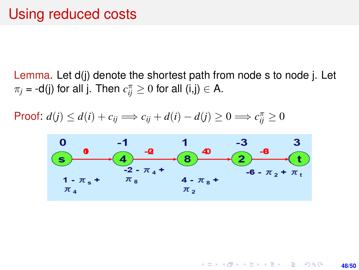Lemma. Let d(j) denote the shortest path from node s to node j. Let  $\pi_j$  = -d(j) for all j. Then  $c_{ij}^{\pi} \geq 0$  for all (i,j)  $\in$  A.

Proof:  $d(j) \leq d(i) + c_{ij} \implies c_{ij} + d(i) - d(j) \geq 0 \implies c_{ij}^{\pi} \geq 0$ 



**48/50**

KO KARK KEK LE KORA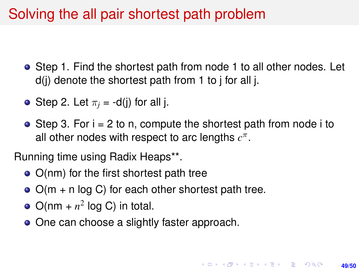## Solving the all pair shortest path problem

- Step 1. Find the shortest path from node 1 to all other nodes. Let  $d(i)$  denote the shortest path from 1 to j for all j.
- **•** Step 2. Let  $\pi_i = -d(i)$  for all i.
- $\bullet$  Step 3. For  $i = 2$  to n, compute the shortest path from node i to all other nodes with respect to arc lengths  $c^{\pi}$ .

Running time using Radix Heaps\*\*.

- $\bullet$  O(nm) for the first shortest path tree
- $\bullet$  O(m + n log C) for each other shortest path tree.
- $O(nm + n^2 \log C)$  in total.
- One can choose a slightly faster approach.